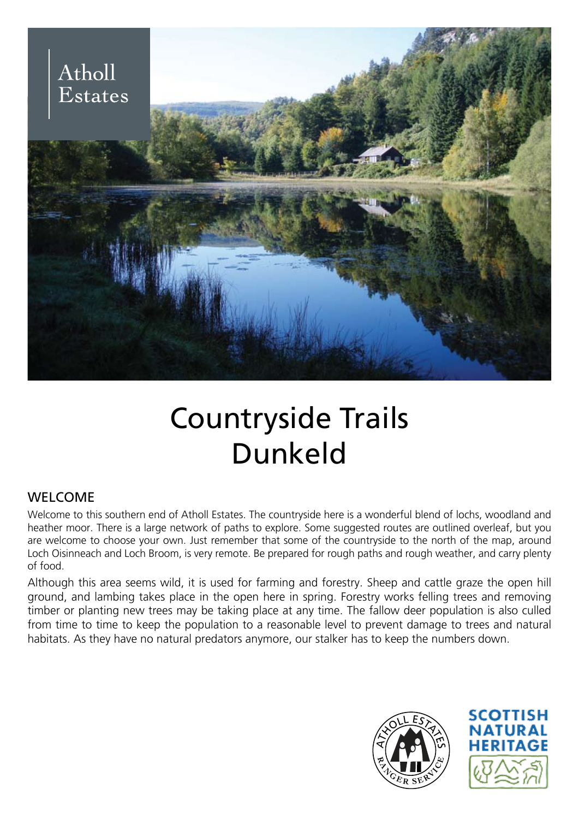

# Countryside Trails Dunkeld

# WELCOME

Welcome to this southern end of Atholl Estates. The countryside here is a wonderful blend of lochs, woodland and heather moor. There is a large network of paths to explore. Some suggested routes are outlined overleaf, but you are welcome to choose your own. Just remember that some of the countryside to the north of the map, around Loch Oisinneach and Loch Broom, is very remote. Be prepared for rough paths and rough weather, and carry plenty of food.

Although this area seems wild, it is used for farming and forestry. Sheep and cattle graze the open hill ground, and lambing takes place in the open here in spring. Forestry works felling trees and removing timber or planting new trees may be taking place at any time. The fallow deer population is also culled from time to time to keep the population to a reasonable level to prevent damage to trees and natural habitats. As they have no natural predators anymore, our stalker has to keep the numbers down.



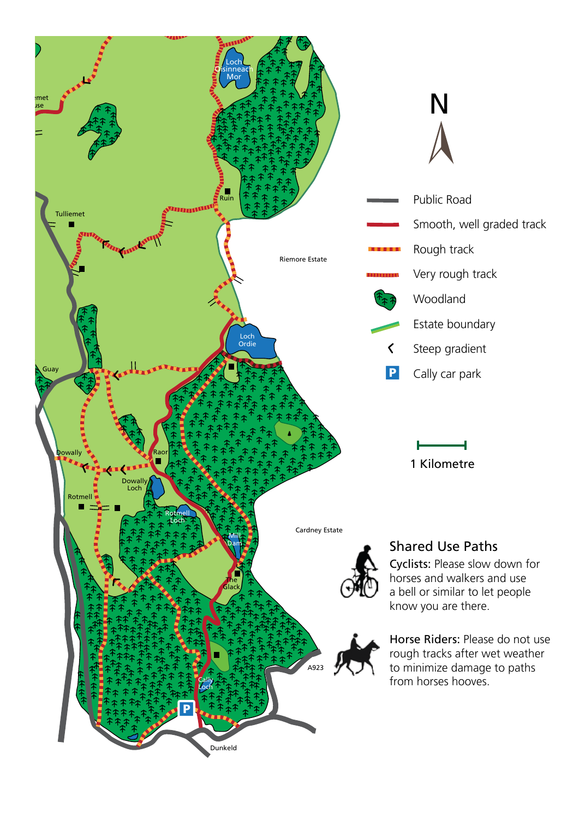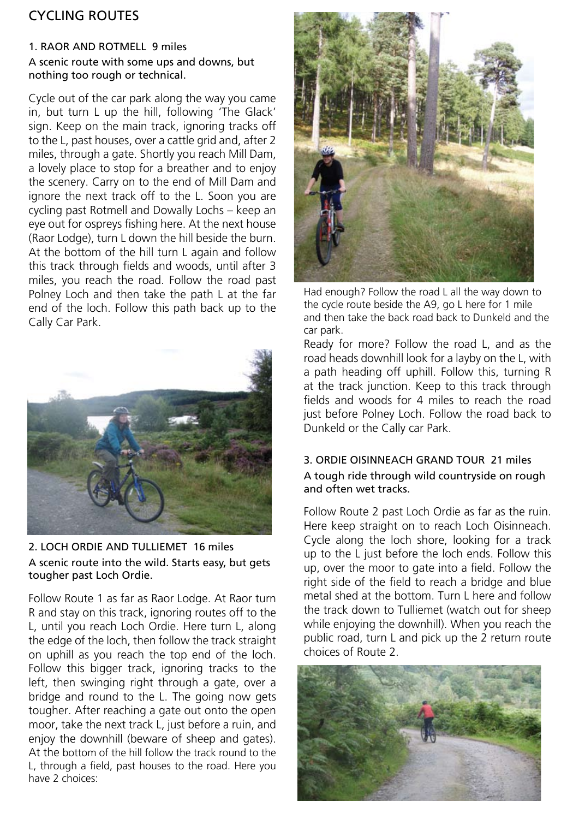# CYCLING ROUTES

#### 1. RAOR AND ROTMELL 9 miles A scenic route with some ups and downs, but nothing too rough or technical.

Cycle out of the car park along the way you came in, but turn L up the hill, following 'The Glack' sign. Keep on the main track, ignoring tracks off to the L, past houses, over a cattle grid and, after 2 miles, through a gate. Shortly you reach Mill Dam, a lovely place to stop for a breather and to enjoy the scenery. Carry on to the end of Mill Dam and ignore the next track off to the L. Soon you are cycling past Rotmell and Dowally Lochs – keep an eye out for ospreys fishing here. At the next house (Raor Lodge), turn L down the hill beside the burn. At the bottom of the hill turn L again and follow this track through fields and woods, until after 3 miles, you reach the road. Follow the road past Polney Loch and then take the path L at the far end of the loch. Follow this path back up to the Cally Car Park.



### 2. LOCH ORDIE AND TULLIEMET 16 miles A scenic route into the wild. Starts easy, but gets tougher past Loch Ordie.

Follow Route 1 as far as Raor Lodge. At Raor turn R and stay on this track, ignoring routes off to the L, until you reach Loch Ordie. Here turn L, along the edge of the loch, then follow the track straight on uphill as you reach the top end of the loch. Follow this bigger track, ignoring tracks to the left, then swinging right through a gate, over a bridge and round to the L. The going now gets tougher. After reaching a gate out onto the open moor, take the next track L, just before a ruin, and enjoy the downhill (beware of sheep and gates). At the bottom of the hill follow the track round to the L, through a field, past houses to the road. Here you have 2 choices:



Had enough? Follow the road L all the way down to the cycle route beside the A9, go L here for 1 mile and then take the back road back to Dunkeld and the car park.

Ready for more? Follow the road L, and as the road heads downhill look for a layby on the L, with a path heading off uphill. Follow this, turning R at the track junction. Keep to this track through fields and woods for 4 miles to reach the road just before Polney Loch. Follow the road back to Dunkeld or the Cally car Park.

#### 3. ORDIE OISINNEACH GRAND TOUR 21 miles A tough ride through wild countryside on rough and often wet tracks.

Follow Route 2 past Loch Ordie as far as the ruin. Here keep straight on to reach Loch Oisinneach. Cycle along the loch shore, looking for a track up to the L just before the loch ends. Follow this up, over the moor to gate into a field. Follow the right side of the field to reach a bridge and blue metal shed at the bottom. Turn L here and follow the track down to Tulliemet (watch out for sheep while enjoying the downhill). When you reach the public road, turn L and pick up the 2 return route choices of Route 2.

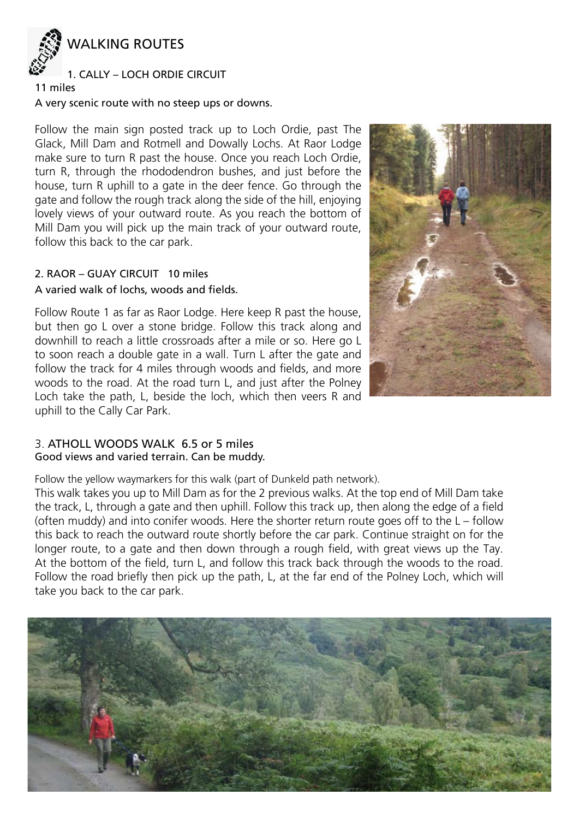

## 1. CALLY – LOCH ORDIE CIRCUIT

#### 11 miles

#### A very scenic route with no steep ups or downs.

Follow the main sign posted track up to Loch Ordie, past The Glack, Mill Dam and Rotmell and Dowally Lochs. At Raor Lodge make sure to turn R past the house. Once you reach Loch Ordie, turn R, through the rhododendron bushes, and just before the house, turn R uphill to a gate in the deer fence. Go through the gate and follow the rough track along the side of the hill, enjoying lovely views of your outward route. As you reach the bottom of Mill Dam you will pick up the main track of your outward route, follow this back to the car park.

#### 2. RAOR – GUAY CIRCUIT 10 miles A varied walk of lochs, woods and fields.

Follow Route 1 as far as Raor Lodge. Here keep R past the house, but then go L over a stone bridge. Follow this track along and downhill to reach a little crossroads after a mile or so. Here go L to soon reach a double gate in a wall. Turn L after the gate and follow the track for 4 miles through woods and fields, and more woods to the road. At the road turn L, and just after the Polney Loch take the path, L, beside the loch, which then veers R and uphill to the Cally Car Park.



# 3. ATHOLL WOODS WALK 6.5 or 5 miles

#### Good views and varied terrain. Can be muddy.

Follow the yellow waymarkers for this walk (part of Dunkeld path network).

This walk takes you up to Mill Dam as for the 2 previous walks. At the top end of Mill Dam take the track, L, through a gate and then uphill. Follow this track up, then along the edge of a field (often muddy) and into conifer woods. Here the shorter return route goes off to the L – follow this back to reach the outward route shortly before the car park. Continue straight on for the longer route, to a gate and then down through a rough field, with great views up the Tay. At the bottom of the field, turn L, and follow this track back through the woods to the road. Follow the road briefly then pick up the path, L, at the far end of the Polney Loch, which will take you back to the car park.

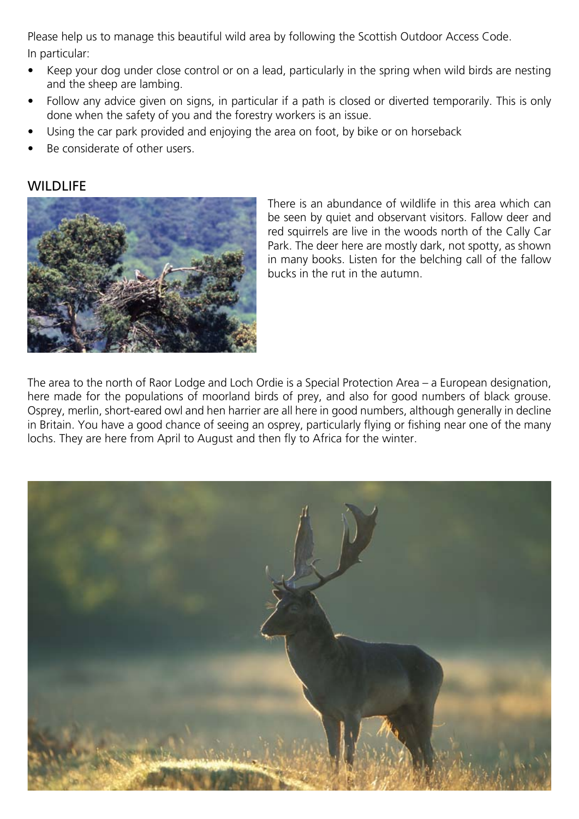Please help us to manage this beautiful wild area by following the Scottish Outdoor Access Code. In particular:

- Keep your dog under close control or on a lead, particularly in the spring when wild birds are nesting and the sheep are lambing.
- Follow any advice given on signs, in particular if a path is closed or diverted temporarily. This is only done when the safety of you and the forestry workers is an issue.
- Using the car park provided and enjoying the area on foot, by bike or on horseback
- Be considerate of other users.

# **WILDLIFE**



There is an abundance of wildlife in this area which can be seen by quiet and observant visitors. Fallow deer and red squirrels are live in the woods north of the Cally Car Park. The deer here are mostly dark, not spotty, as shown in many books. Listen for the belching call of the fallow bucks in the rut in the autumn.

The area to the north of Raor Lodge and Loch Ordie is a Special Protection Area – a European designation, here made for the populations of moorland birds of prey, and also for good numbers of black grouse. Osprey, merlin, short-eared owl and hen harrier are all here in good numbers, although generally in decline in Britain. You have a good chance of seeing an osprey, particularly flying or fishing near one of the many lochs. They are here from April to August and then fly to Africa for the winter.

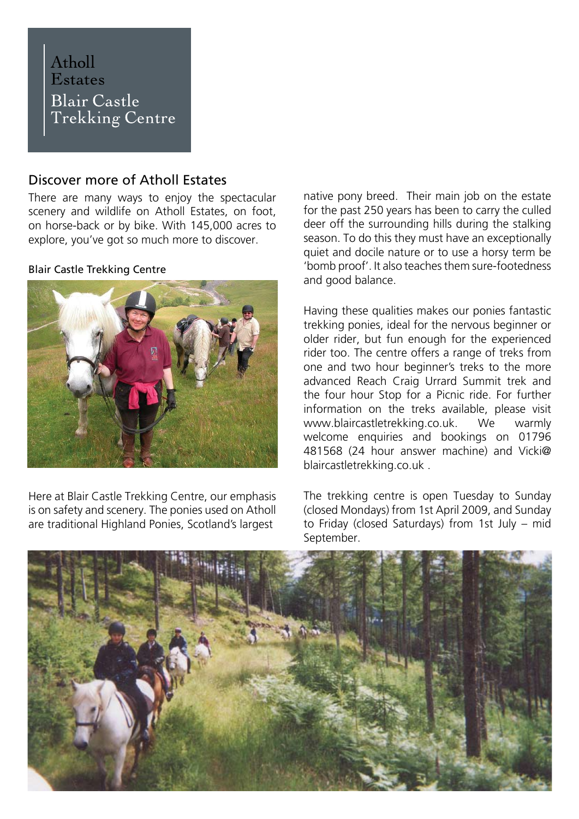# Atholl **Estates Blair Castle Trekking Centre**

# Discover more of Atholl Estates

There are many ways to enjoy the spectacular scenery and wildlife on Atholl Estates, on foot, on horse-back or by bike. With 145,000 acres to explore, you've got so much more to discover.

#### Blair Castle Trekking Centre



Here at Blair Castle Trekking Centre, our emphasis is on safety and scenery. The ponies used on Atholl are traditional Highland Ponies, Scotland's largest

native pony breed. Their main job on the estate for the past 250 years has been to carry the culled deer off the surrounding hills during the stalking season. To do this they must have an exceptionally quiet and docile nature or to use a horsy term be 'bomb proof'. It also teaches them sure-footedness and good balance.

Having these qualities makes our ponies fantastic trekking ponies, ideal for the nervous beginner or older rider, but fun enough for the experienced rider too. The centre offers a range of treks from one and two hour beginner's treks to the more advanced Reach Craig Urrard Summit trek and the four hour Stop for a Picnic ride. For further information on the treks available, please visit www.blaircastletrekking.co.uk. We warmly welcome enquiries and bookings on 01796 481568 (24 hour answer machine) and Vicki@ blaircastletrekking.co.uk .

The trekking centre is open Tuesday to Sunday (closed Mondays) from 1st April 2009, and Sunday to Friday (closed Saturdays) from 1st July – mid September.